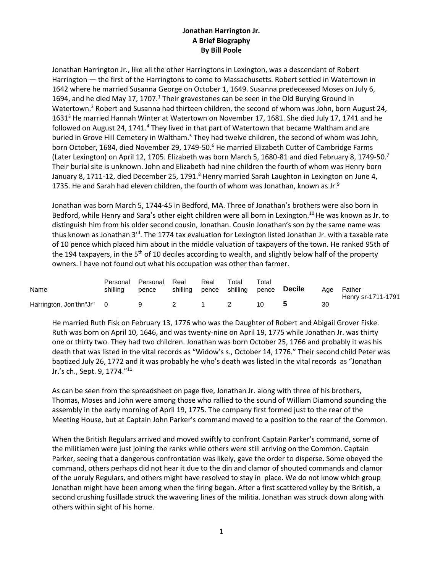## **Jonathan Harrington Jr. A Brief Biography By Bill Poole**

Jonathan Harrington Jr., like all the other Harringtons in Lexington, was a descendant of Robert Harrington — the first of the Harringtons to come to Massachusetts. Robert settled in Watertown in 1642 where he married Susanna George on October 1, 1649. Susanna predeceased Moses on July 6, 1694, and he died May 17, 1707.<sup>1</sup> Their gravestones can be seen in the Old Burying Ground in Watertown.<sup>2</sup> Robert and Susanna had thirteen children, the second of whom was John, born August 24, 1631<sup>3</sup> He married Hannah Winter at Watertown on November 17, 1681. She died July 17, 1741 and he followed on August 24, 1741.<sup>4</sup> They lived in that part of Watertown that became Waltham and are buried in Grove Hill Cemetery in Waltham.<sup>5</sup> They had twelve children, the second of whom was John, born October, 1684, died November 29, 1749-50.<sup>6</sup> He married Elizabeth Cutter of Cambridge Farms (Later Lexington) on April 12, 1705. Elizabeth was born March 5, 1680-81 and died February 8, 1749-50.<sup>7</sup> Their burial site is unknown. John and Elizabeth had nine children the fourth of whom was Henry born January 8, 1711-12, died December 25, 1791.<sup>8</sup> Henry married Sarah Laughton in Lexington on June 4, 1735. He and Sarah had eleven children, the fourth of whom was Jonathan, known as Jr. $9$ 

Jonathan was born March 5, 1744-45 in Bedford, MA. Three of Jonathan's brothers were also born in Bedford, while Henry and Sara's other eight children were all born in Lexington.<sup>10</sup> He was known as Jr. to distinguish him from his older second cousin, Jonathan. Cousin Jonathan's son by the same name was thus known as Jonathan 3<sup>rd</sup>. The 1774 tax evaluation for Lexington listed Jonathan Jr. with a taxable rate of 10 pence which placed him about in the middle valuation of taxpayers of the town. He ranked 95th of the 194 taxpayers, in the  $5<sup>th</sup>$  of 10 deciles according to wealth, and slightly below half of the property owners. I have not found out what his occupation was other than farmer.

| Name                      | Personal<br>shilling | Personal<br>pence | Real | Real | Total<br>shilling pence shilling pence <b>Decile</b> | Total | Aae | Father<br>Henry sr-1711-1791 |
|---------------------------|----------------------|-------------------|------|------|------------------------------------------------------|-------|-----|------------------------------|
| Harrington, Jon'thn"Jr" 0 |                      | 9                 |      |      |                                                      |       | 30  |                              |

He married Ruth Fisk on February 13, 1776 who was the Daughter of Robert and Abigail Grover Fiske. Ruth was born on April 10, 1646, and was twenty-nine on April 19, 1775 while Jonathan Jr. was thirty one or thirty two. They had two children. Jonathan was born October 25, 1766 and probably it was his death that was listed in the vital records as "Widow's s., October 14, 1776." Their second child Peter was baptized July 26, 1772 and it was probably he who's death was listed in the vital records as "Jonathan Jr.'s ch., Sept. 9, 1774."<sup>11</sup>

As can be seen from the spreadsheet on page five, Jonathan Jr. along with three of his brothers, Thomas, Moses and John were among those who rallied to the sound of William Diamond sounding the assembly in the early morning of April 19, 1775. The company first formed just to the rear of the Meeting House, but at Captain John Parker's command moved to a position to the rear of the Common.

When the British Regulars arrived and moved swiftly to confront Captain Parker's command, some of the militiamen were just joining the ranks while others were still arriving on the Common. Captain Parker, seeing that a dangerous confrontation was likely, gave the order to disperse. Some obeyed the command, others perhaps did not hear it due to the din and clamor of shouted commands and clamor of the unruly Regulars, and others might have resolved to stay in place. We do not know which group Jonathan might have been among when the firing began. After a first scattered volley by the British, a second crushing fusillade struck the wavering lines of the militia. Jonathan was struck down along with others within sight of his home.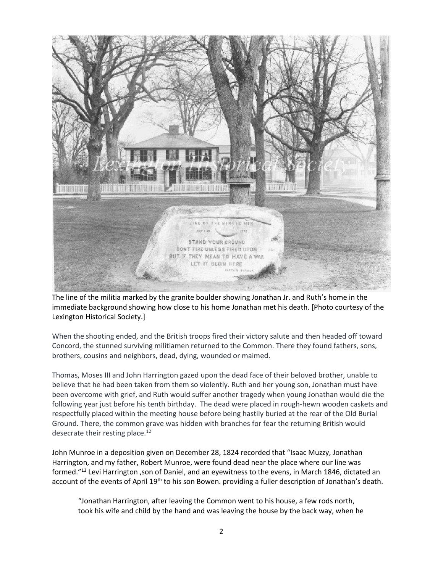

The line of the militia marked by the granite boulder showing Jonathan Jr. and Ruth's home in the immediate background showing how close to his home Jonathan met his death. [Photo courtesy of the Lexington Historical Society.]

When the shooting ended, and the British troops fired their victory salute and then headed off toward Concord, the stunned surviving militiamen returned to the Common. There they found fathers, sons, brothers, cousins and neighbors, dead, dying, wounded or maimed.

Thomas, Moses III and John Harrington gazed upon the dead face of their beloved brother, unable to believe that he had been taken from them so violently. Ruth and her young son, Jonathan must have been overcome with grief, and Ruth would suffer another tragedy when young Jonathan would die the following year just before his tenth birthday. The dead were placed in rough-hewn wooden caskets and respectfully placed within the meeting house before being hastily buried at the rear of the Old Burial Ground. There, the common grave was hidden with branches for fear the returning British would desecrate their resting place.<sup>12</sup>

John Munroe in a deposition given on December 28, 1824 recorded that "Isaac Muzzy, Jonathan Harrington, and my father, Robert Munroe, were found dead near the place where our line was formed."<sup>13</sup> Levi Harrington ,son of Daniel, and an eyewitness to the evens, in March 1846, dictated an account of the events of April 19th to his son Bowen. providing a fuller description of Jonathan's death.

"Jonathan Harrington, after leaving the Common went to his house, a few rods north, took his wife and child by the hand and was leaving the house by the back way, when he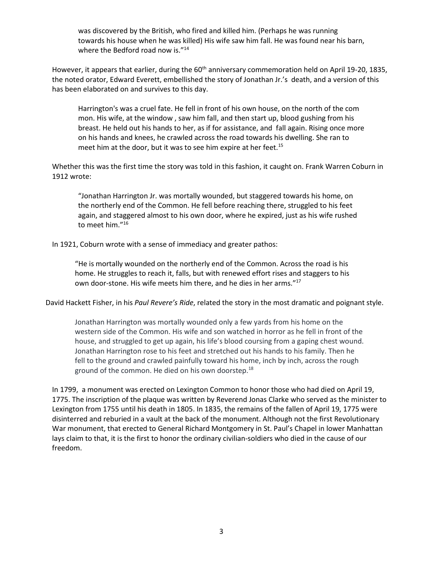was discovered by the British, who fired and killed him. (Perhaps he was running towards his house when he was killed) His wife saw him fall. He was found near his barn, where the Bedford road now is."<sup>14</sup>

However, it appears that earlier, during the 60<sup>th</sup> anniversary commemoration held on April 19-20, 1835, the noted orator, Edward Everett, embellished the story of Jonathan Jr.'s death, and a version of this has been elaborated on and survives to this day.

Harrington's was a cruel fate. He fell in front of his own house, on the north of the com mon. His wife, at the window , saw him fall, and then start up, blood gushing from his breast. He held out his hands to her, as if for assistance, and fall again. Rising once more on his hands and knees, he crawled across the road towards his dwelling. She ran to meet him at the door, but it was to see him expire at her feet.<sup>15</sup>

Whether this was the first time the story was told in this fashion, it caught on. Frank Warren Coburn in 1912 wrote:

"Jonathan Harrington Jr. was mortally wounded, but staggered towards his home, on the northerly end of the Common. He fell before reaching there, struggled to his feet again, and staggered almost to his own door, where he expired, just as his wife rushed to meet him."<sup>16</sup>

In 1921, Coburn wrote with a sense of immediacy and greater pathos:

"He is mortally wounded on the northerly end of the Common. Across the road is his home. He struggles to reach it, falls, but with renewed effort rises and staggers to his own door-stone. His wife meets him there, and he dies in her arms."<sup>17</sup>

David Hackett Fisher, in his *Paul Revere's Ride*, related the story in the most dramatic and poignant style.

Jonathan Harrington was mortally wounded only a few yards from his home on the western side of the Common. His wife and son watched in horror as he fell in front of the house, and struggled to get up again, his life's blood coursing from a gaping chest wound. Jonathan Harrington rose to his feet and stretched out his hands to his family. Then he fell to the ground and crawled painfully toward his home, inch by inch, across the rough ground of the common. He died on his own doorstep.<sup>18</sup>

In 1799, a monument was erected on Lexington Common to honor those who had died on April 19, 1775. The inscription of the plaque was written by Reverend Jonas Clarke who served as the minister to Lexington from 1755 until his death in 1805. In 1835, the remains of the fallen of April 19, 1775 were disinterred and reburied in a vault at the back of the monument. Although not the first Revolutionary War monument, that erected to General Richard Montgomery in St. Paul's Chapel in lower Manhattan lays claim to that, it is the first to honor the ordinary civilian-soldiers who died in the cause of our freedom.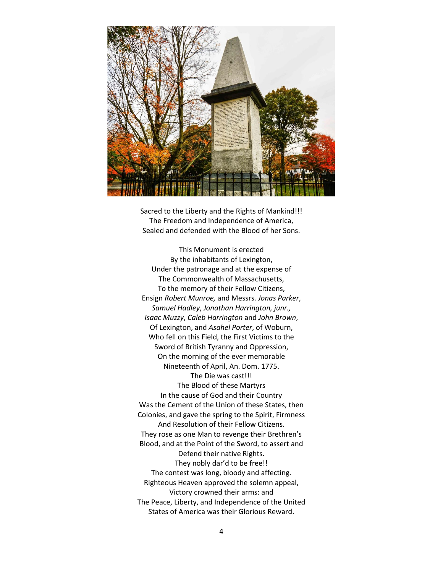

Sacred to the Liberty and the Rights of Mankind!!! The Freedom and Independence of America, Sealed and defended with the Blood of her Sons.

This Monument is erected By the inhabitants of Lexington, Under the patronage and at the expense of The Commonwealth of Massachusetts, To the memory of their Fellow Citizens, Ensign *Robert Munroe,* and Messrs. *Jonas Parker*, *Samuel Hadley*, *Jonathan Harrington, junr., Isaac Muzzy*, *Caleb Harrington* and *John Brown*, Of Lexington, and *Asahel Porter*, of Woburn, Who fell on this Field, the First Victims to the Sword of British Tyranny and Oppression, On the morning of the ever memorable Nineteenth of April, An. Dom. 1775. The Die was cast!!! The Blood of these Martyrs In the cause of God and their Country Was the Cement of the Union of these States, then Colonies, and gave the spring to the Spirit, Firmness And Resolution of their Fellow Citizens. They rose as one Man to revenge their Brethren's Blood, and at the Point of the Sword, to assert and Defend their native Rights. They nobly dar'd to be free!! The contest was long, bloody and affecting. Righteous Heaven approved the solemn appeal, Victory crowned their arms: and The Peace, Liberty, and Independence of the United States of America was their Glorious Reward.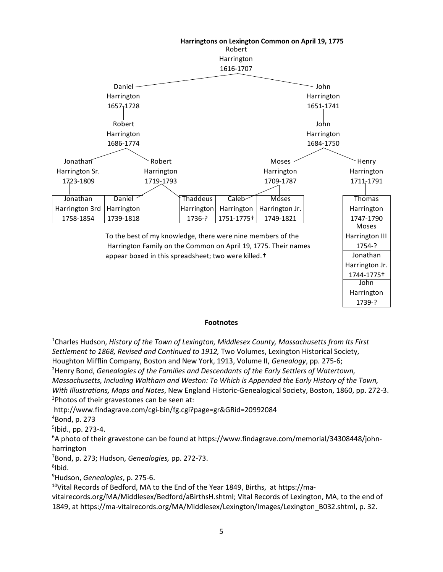

## **Footnotes**

<sup>1</sup>Charles Hudson, *History of the Town of Lexington, Middlesex County, Massachusetts from Its First Settlement to 1868, Revised and Continued to 1912,* Two Volumes, Lexington Historical Society, Houghton Mifflin Company, Boston and New York, 1913, Volume II, *Genealogy*, pp*.* 275-6; <sup>2</sup>Henry Bond, *Genealogies of the Families and Descendants of the Early Settlers of Watertown, Massachusetts, Including Waltham and Weston: To Which is Appended the Early History of the Town, With Illustrations, Maps and Notes*, New England Historic-Genealogical Society, Boston, 1860, pp. 272-3. <sup>3</sup>Photos of their gravestones can be seen at:

<http://www.findagrave.com/cgi-bin/fg.cgi?page=gr&GRid=20992084>

 $4$ Bond, p. 273

5 Ibid., pp. 273-4.

6A photo of their gravestone can be found at [https://www.findagrave.com/memorial/34308448/john](https://www.findagrave.com/memorial/34308448/john-harrington)[harrington](https://www.findagrave.com/memorial/34308448/john-harrington)

<sup>7</sup>Bond, p. 273; Hudson, *Genealogies,* pp. 272-73.

<sup>8</sup>lbid.

<sup>9</sup>Hudson, *Genealogies*, p. 275-6.

 $10$ Vital Records of Bedford, MA to the End of the Year 1849, Births, a[t https://ma-](https://ma-vitalrecords.org/MA/Middlesex/Bedford/aBirthsH.shtml)

[vitalrecords.org/MA/Middlesex/Bedford/aBirthsH.shtml;](https://ma-vitalrecords.org/MA/Middlesex/Bedford/aBirthsH.shtml) Vital Records of Lexington, MA, to the end of 1849, at [https://ma-vitalrecords.org/MA/Middlesex/Lexington/Images/Lexington\\_B032.shtml,](https://ma-vitalrecords.org/MA/Middlesex/Lexington/Images/Lexington_B032.shtml) p. 32.